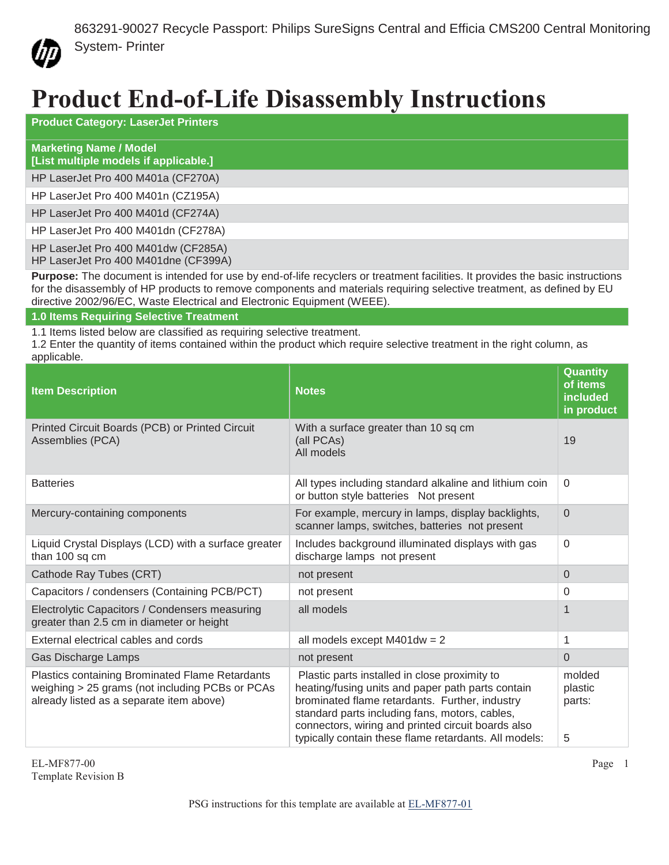

## **Product End-of-Life Disassembly Instructions**

| <b>Product Category: LaserJet Printers</b>                                                                                            |
|---------------------------------------------------------------------------------------------------------------------------------------|
| <b>Marketing Name / Model</b><br>[List multiple models if applicable.]                                                                |
| HP LaserJet Pro 400 M401a (CF270A)                                                                                                    |
| HP LaserJet Pro 400 M401n (CZ195A)                                                                                                    |
| HP LaserJet Pro 400 M401d (CF274A)                                                                                                    |
| HP LaserJet Pro 400 M401dn (CF278A)                                                                                                   |
| HP LaserJet Pro 400 M401dw (CF285A)<br>HP LaserJet Pro 400 M401dne (CF399A)                                                           |
| <b>Durages:</b> The decument is intended for use by and of life requelere or treatment fooilities. It provides the boois instructions |

**Purpose:** The document is intended for use by end-of-life recyclers or treatment facilities. It provides the basic instructions for the disassembly of HP products to remove components and materials requiring selective treatment, as defined by EU directive 2002/96/EC, Waste Electrical and Electronic Equipment (WEEE).

## **1.0 Items Requiring Selective Treatment**

1.1 Items listed below are classified as requiring selective treatment.

1.2 Enter the quantity of items contained within the product which require selective treatment in the right column, as applicable.

| <b>Item Description</b>                                                                                                                        | <b>Notes</b>                                                                                                                                                                                                                                                                                                          | Quantity<br>of items<br>included<br>in product |
|------------------------------------------------------------------------------------------------------------------------------------------------|-----------------------------------------------------------------------------------------------------------------------------------------------------------------------------------------------------------------------------------------------------------------------------------------------------------------------|------------------------------------------------|
| Printed Circuit Boards (PCB) or Printed Circuit<br>Assemblies (PCA)                                                                            | With a surface greater than 10 sq cm<br>(all PCAs)<br>All models                                                                                                                                                                                                                                                      | 19                                             |
| <b>Batteries</b>                                                                                                                               | All types including standard alkaline and lithium coin<br>or button style batteries Not present                                                                                                                                                                                                                       | $\Omega$                                       |
| Mercury-containing components                                                                                                                  | For example, mercury in lamps, display backlights,<br>scanner lamps, switches, batteries not present                                                                                                                                                                                                                  | $\overline{0}$                                 |
| Liquid Crystal Displays (LCD) with a surface greater<br>than 100 sq cm                                                                         | Includes background illuminated displays with gas<br>discharge lamps not present                                                                                                                                                                                                                                      | $\mathbf 0$                                    |
| Cathode Ray Tubes (CRT)                                                                                                                        | not present                                                                                                                                                                                                                                                                                                           | $\Omega$                                       |
| Capacitors / condensers (Containing PCB/PCT)                                                                                                   | not present                                                                                                                                                                                                                                                                                                           | $\Omega$                                       |
| Electrolytic Capacitors / Condensers measuring<br>greater than 2.5 cm in diameter or height                                                    | all models                                                                                                                                                                                                                                                                                                            | 1                                              |
| External electrical cables and cords                                                                                                           | all models except $M401dw = 2$                                                                                                                                                                                                                                                                                        | 1                                              |
| Gas Discharge Lamps                                                                                                                            | not present                                                                                                                                                                                                                                                                                                           | $\Omega$                                       |
| Plastics containing Brominated Flame Retardants<br>weighing > 25 grams (not including PCBs or PCAs<br>already listed as a separate item above) | Plastic parts installed in close proximity to<br>heating/fusing units and paper path parts contain<br>brominated flame retardants. Further, industry<br>standard parts including fans, motors, cables,<br>connectors, wiring and printed circuit boards also<br>typically contain these flame retardants. All models: | molded<br>plastic<br>parts:<br>5               |